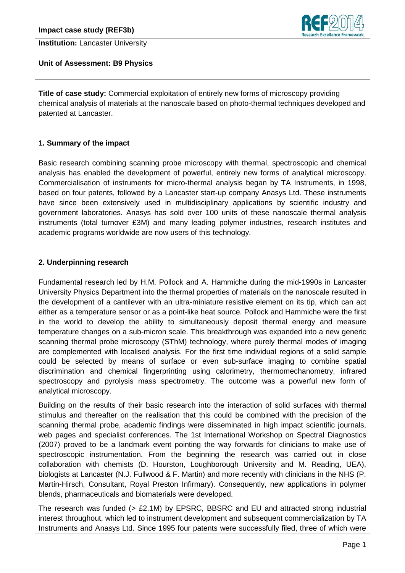



#### **Unit of Assessment: B9 Physics**

**Title of case study:** Commercial exploitation of entirely new forms of microscopy providing chemical analysis of materials at the nanoscale based on photo-thermal techniques developed and patented at Lancaster.

### **1. Summary of the impact**

Basic research combining scanning probe microscopy with thermal, spectroscopic and chemical analysis has enabled the development of powerful, entirely new forms of analytical microscopy. Commercialisation of instruments for micro-thermal analysis began by TA Instruments, in 1998, based on four patents, followed by a Lancaster start-up company Anasys Ltd. These instruments have since been extensively used in multidisciplinary applications by scientific industry and government laboratories. Anasys has sold over 100 units of these nanoscale thermal analysis instruments (total turnover £3M) and many leading polymer industries, research institutes and academic programs worldwide are now users of this technology.

### **2. Underpinning research**

Fundamental research led by H.M. Pollock and A. Hammiche during the mid-1990s in Lancaster University Physics Department into the thermal properties of materials on the nanoscale resulted in the development of a cantilever with an ultra-miniature resistive element on its tip, which can act either as a temperature sensor or as a point-like heat source. Pollock and Hammiche were the first in the world to develop the ability to simultaneously deposit thermal energy and measure temperature changes on a sub-micron scale. This breakthrough was expanded into a new generic scanning thermal probe microscopy (SThM) technology, where purely thermal modes of imaging are complemented with localised analysis. For the first time individual regions of a solid sample could be selected by means of surface or even sub-surface imaging to combine spatial discrimination and chemical fingerprinting using calorimetry, thermomechanometry, infrared spectroscopy and pyrolysis mass spectrometry. The outcome was a powerful new form of analytical microscopy.

Building on the results of their basic research into the interaction of solid surfaces with thermal stimulus and thereafter on the realisation that this could be combined with the precision of the scanning thermal probe, academic findings were disseminated in high impact scientific journals, web pages and specialist conferences. The 1st International Workshop on Spectral Diagnostics (2007) proved to be a landmark event pointing the way forwards for clinicians to make use of spectroscopic instrumentation. From the beginning the research was carried out in close collaboration with chemists (D. Hourston, Loughborough University and M. Reading, UEA), biologists at Lancaster (N.J. Fullwood & F. Martin) and more recently with clinicians in the NHS (P. Martin-Hirsch, Consultant, Royal Preston Infirmary). Consequently, new applications in polymer blends, pharmaceuticals and biomaterials were developed.

The research was funded  $(> E2.1M)$  by EPSRC, BBSRC and EU and attracted strong industrial interest throughout, which led to instrument development and subsequent commercialization by TA Instruments and Anasys Ltd. Since 1995 four patents were successfully filed, three of which were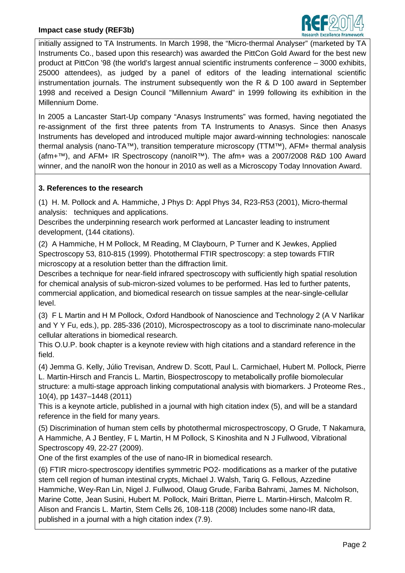

initially assigned to TA Instruments. In March 1998, the "Micro-thermal Analyser" (marketed by TA Instruments Co., based upon this research) was awarded the PittCon Gold Award for the best new product at PittCon '98 (the world's largest annual scientific instruments conference – 3000 exhibits, 25000 attendees), as judged by a panel of editors of the leading international scientific instrumentation journals. The instrument subsequently won the R & D 100 award in September 1998 and received a Design Council "Millennium Award" in 1999 following its exhibition in the Millennium Dome.

In 2005 a Lancaster Start-Up company "Anasys Instruments" was formed, having negotiated the re-assignment of the first three patents from TA Instruments to Anasys. Since then Anasys Instruments has developed and introduced multiple major award-winning technologies: nanoscale thermal analysis (nano-TA™), transition temperature microscopy (TTM™), AFM+ thermal analysis (afm+™), and AFM+ IR Spectroscopy (nanoIR™). The afm+ was a 2007/2008 R&D 100 Award winner, and the nanoIR won the honour in 2010 as well as a Microscopy Today Innovation Award.

# **3. References to the research**

(1) H. M. Pollock and A. Hammiche, J Phys D: Appl Phys 34, R23-R53 (2001), Micro-thermal analysis: techniques and applications.

Describes the underpinning research work performed at Lancaster leading to instrument development, (144 citations).

(2) A Hammiche, H M Pollock, M Reading, M Claybourn, P Turner and K Jewkes, Applied Spectroscopy 53, 810-815 (1999). Photothermal FTIR spectroscopy: a step towards FTIR microscopy at a resolution better than the diffraction limit.

Describes a technique for near-field infrared spectroscopy with sufficiently high spatial resolution for chemical analysis of sub-micron-sized volumes to be performed. Has led to further patents, commercial application, and biomedical research on tissue samples at the near-single-cellular level.

(3) F L Martin and H M Pollock, Oxford Handbook of Nanoscience and Technology 2 (A V Narlikar and Y Y Fu, eds.), pp. 285-336 (2010), Microspectroscopy as a tool to discriminate nano-molecular cellular alterations in biomedical research.

This O.U.P. book chapter is a keynote review with high citations and a standard reference in the field.

(4) Jemma G. Kelly, Júlio Trevisan, Andrew D. Scott, Paul L. Carmichael, Hubert M. Pollock, Pierre L. Martin-Hirsch and Francis L. Martin, Biospectroscopy to metabolically profile biomolecular structure: a multi-stage approach linking computational analysis with biomarkers. J Proteome Res., 10(4), pp 1437–1448 (2011)

This is a keynote article, published in a journal with high citation index (5), and will be a standard reference in the field for many years.

(5) Discrimination of human stem cells by photothermal microspectroscopy, O Grude, T Nakamura, A Hammiche, A J Bentley, F L Martin, H M Pollock, S Kinoshita and N J Fullwood, Vibrational Spectroscopy 49, 22-27 (2009).

One of the first examples of the use of nano-IR in biomedical research.

(6) FTIR micro-spectroscopy identifies symmetric PO2- modifications as a marker of the putative stem cell region of human intestinal crypts, Michael J. Walsh, Tariq G. Fellous, Azzedine Hammiche, Wey-Ran Lin, Nigel J. Fullwood, Olaug Grude, Fariba Bahrami, James M. Nicholson, Marine Cotte, Jean Susini, Hubert M. Pollock, Mairi Brittan, Pierre L. Martin-Hirsch, Malcolm R. Alison and Francis L. Martin, Stem Cells 26, 108-118 (2008) Includes some nano-IR data, published in a journal with a high citation index (7.9).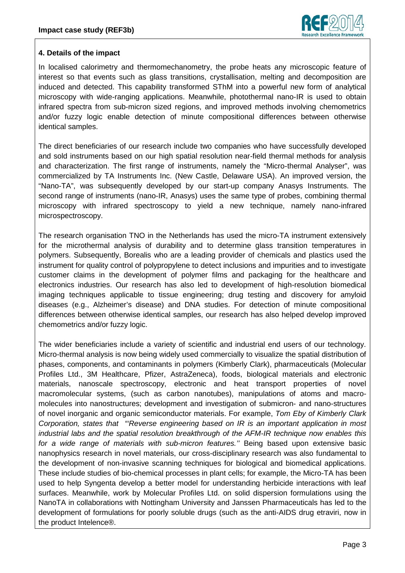

## **4. Details of the impact**

In localised calorimetry and thermomechanometry, the probe heats any microscopic feature of interest so that events such as glass transitions, crystallisation, melting and decomposition are induced and detected. This capability transformed SThM into a powerful new form of analytical microscopy with wide-ranging applications. Meanwhile, photothermal nano-IR is used to obtain infrared spectra from sub-micron sized regions, and improved methods involving chemometrics and/or fuzzy logic enable detection of minute compositional differences between otherwise identical samples.

The direct beneficiaries of our research include two companies who have successfully developed and sold instruments based on our high spatial resolution near-field thermal methods for analysis and characterization. The first range of instruments, namely the "Micro-thermal Analyser", was commercialized by TA Instruments Inc. (New Castle, Delaware USA). An improved version, the "Nano-TA", was subsequently developed by our start-up company Anasys Instruments. The second range of instruments (nano-IR, Anasys) uses the same type of probes, combining thermal microscopy with infrared spectroscopy to yield a new technique, namely nano-infrared microspectroscopy.

The research organisation TNO in the Netherlands has used the micro-TA instrument extensively for the microthermal analysis of durability and to determine glass transition temperatures in polymers. Subsequently, Borealis who are a leading provider of chemicals and plastics used the instrument for quality control of polypropylene to detect inclusions and impurities and to investigate customer claims in the development of polymer films and packaging for the healthcare and electronics industries. Our research has also led to development of high-resolution biomedical imaging techniques applicable to tissue engineering; drug testing and discovery for amyloid diseases (e.g., Alzheimer's disease) and DNA studies. For detection of minute compositional differences between otherwise identical samples, our research has also helped develop improved chemometrics and/or fuzzy logic.

The wider beneficiaries include a variety of scientific and industrial end users of our technology. Micro-thermal analysis is now being widely used commercially to visualize the spatial distribution of phases, components, and contaminants in polymers (Kimberly Clark), pharmaceuticals (Molecular Profiles Ltd., 3M Healthcare, Pfizer, AstraZeneca), foods, biological materials and electronic materials, nanoscale spectroscopy, electronic and heat transport properties of novel macromolecular systems, (such as carbon nanotubes), manipulations of atoms and macromolecules into nanostructures; development and investigation of submicron- and nano-structures of novel inorganic and organic semiconductor materials. For example, *Tom Eby of Kimberly Clark Corporation, states that "'Reverse engineering based on IR is an important application in most industrial labs and the spatial resolution breakthrough of the AFM-IR technique now enables this*  for a wide range of materials with sub-micron features." Being based upon extensive basic nanophysics research in novel materials, our cross-disciplinary research was also fundamental to the development of non-invasive scanning techniques for biological and biomedical applications. These include studies of bio-chemical processes in plant cells; for example, the Micro-TA has been used to help Syngenta develop a better model for understanding herbicide interactions with leaf surfaces. Meanwhile, work by Molecular Profiles Ltd. on solid dispersion formulations using the NanoTA in collaborations with Nottingham University and Janssen Pharmaceuticals has led to the development of formulations for poorly soluble drugs (such as the anti-AIDS drug etraviri, now in the product Intelence®.